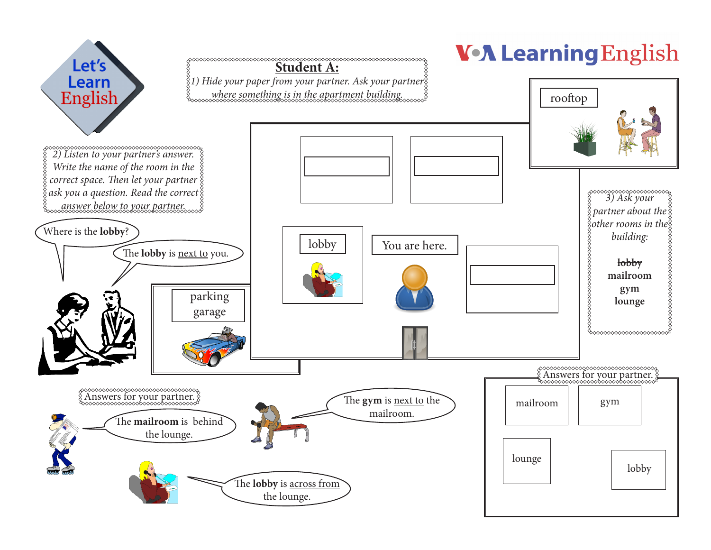